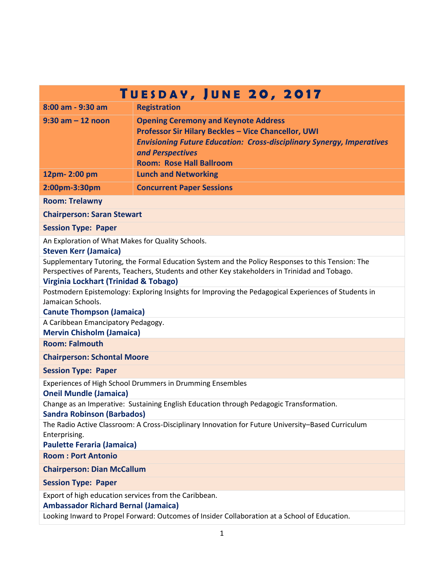| TUESDAY, JUNE 20, 2017                                                                                                                                                                                                                       |                                                                                                                                                                                                                                           |
|----------------------------------------------------------------------------------------------------------------------------------------------------------------------------------------------------------------------------------------------|-------------------------------------------------------------------------------------------------------------------------------------------------------------------------------------------------------------------------------------------|
| 8:00 am - 9:30 am                                                                                                                                                                                                                            | <b>Registration</b>                                                                                                                                                                                                                       |
| $9:30$ am $-12$ noon                                                                                                                                                                                                                         | <b>Opening Ceremony and Keynote Address</b><br>Professor Sir Hilary Beckles - Vice Chancellor, UWI<br><b>Envisioning Future Education: Cross-disciplinary Synergy, Imperatives</b><br>and Perspectives<br><b>Room: Rose Hall Ballroom</b> |
| 12pm-2:00 pm                                                                                                                                                                                                                                 | <b>Lunch and Networking</b>                                                                                                                                                                                                               |
| 2:00pm-3:30pm                                                                                                                                                                                                                                | <b>Concurrent Paper Sessions</b>                                                                                                                                                                                                          |
| <b>Room: Trelawny</b>                                                                                                                                                                                                                        |                                                                                                                                                                                                                                           |
| <b>Chairperson: Saran Stewart</b>                                                                                                                                                                                                            |                                                                                                                                                                                                                                           |
| <b>Session Type: Paper</b>                                                                                                                                                                                                                   |                                                                                                                                                                                                                                           |
| An Exploration of What Makes for Quality Schools.<br><b>Steven Kerr (Jamaica)</b>                                                                                                                                                            |                                                                                                                                                                                                                                           |
| Supplementary Tutoring, the Formal Education System and the Policy Responses to this Tension: The<br>Perspectives of Parents, Teachers, Students and other Key stakeholders in Trinidad and Tobago.<br>Virginia Lockhart (Trinidad & Tobago) |                                                                                                                                                                                                                                           |
| Postmodern Epistemology: Exploring Insights for Improving the Pedagogical Experiences of Students in<br>Jamaican Schools.<br><b>Canute Thompson (Jamaica)</b>                                                                                |                                                                                                                                                                                                                                           |
| A Caribbean Emancipatory Pedagogy.<br><b>Mervin Chisholm (Jamaica)</b>                                                                                                                                                                       |                                                                                                                                                                                                                                           |
| <b>Room: Falmouth</b>                                                                                                                                                                                                                        |                                                                                                                                                                                                                                           |
| <b>Chairperson: Schontal Moore</b>                                                                                                                                                                                                           |                                                                                                                                                                                                                                           |
| <b>Session Type: Paper</b>                                                                                                                                                                                                                   |                                                                                                                                                                                                                                           |
| Experiences of High School Drummers in Drumming Ensembles<br><b>Oneil Mundle (Jamaica)</b>                                                                                                                                                   |                                                                                                                                                                                                                                           |
| Change as an Imperative: Sustaining English Education through Pedagogic Transformation.<br><b>Sandra Robinson (Barbados)</b>                                                                                                                 |                                                                                                                                                                                                                                           |
| The Radio Active Classroom: A Cross-Disciplinary Innovation for Future University-Based Curriculum<br>Enterprising.<br><b>Paulette Feraria (Jamaica)</b>                                                                                     |                                                                                                                                                                                                                                           |
| <b>Room: Port Antonio</b>                                                                                                                                                                                                                    |                                                                                                                                                                                                                                           |
| <b>Chairperson: Dian McCallum</b>                                                                                                                                                                                                            |                                                                                                                                                                                                                                           |
| <b>Session Type: Paper</b>                                                                                                                                                                                                                   |                                                                                                                                                                                                                                           |
| Export of high education services from the Caribbean.<br><b>Ambassador Richard Bernal (Jamaica)</b>                                                                                                                                          |                                                                                                                                                                                                                                           |
| Looking Inward to Propel Forward: Outcomes of Insider Collaboration at a School of Education.                                                                                                                                                |                                                                                                                                                                                                                                           |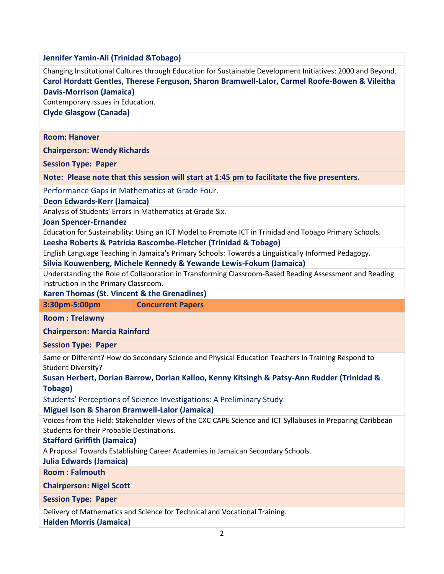**Jennifer Yamin-Ali (Trinidad &Tobago)**

Changing Institutional Cultures through Education for Sustainable Development Initiatives: 2000 and Beyond. **Carol Hordatt Gentles, Therese Ferguson, Sharon Bramwell-Lalor, Carmel Roofe-Bowen & Vileitha Davis-Morrison (Jamaica)**

Contemporary Issues in Education.

**Clyde Glasgow (Canada)**

## **Room: Hanover**

**Chairperson: Wendy Richards**

**Session Type: Paper**

**Note: Please note that this session will start at 1:45 pm to facilitate the five presenters.**

Performance Gaps in Mathematics at Grade Four.

**Deon Edwards-Kerr (Jamaica)**

Analysis of Students' Errors in Mathematics at Grade Six.

**Joan Spencer-Ernandez**

Education for Sustainability: Using an ICT Model to Promote ICT in Trinidad and Tobago Primary Schools.

**Leesha Roberts & Patricia Bascombe-Fletcher (Trinidad & Tobago)**

English Language Teaching in Jamaica's Primary Schools: Towards a Linguistically Informed Pedagogy.

**Silvia Kouwenberg, Michele Kennedy & Yewande Lewis-Fokum (Jamaica)**

Understanding the Role of Collaboration in Transforming Classroom-Based Reading Assessment and Reading Instruction in the Primary Classroom.

**Karen Thomas (St. Vincent & the Grenadines)**

**3:30pm-5:00pm Concurrent Papers** 

**Room : Trelawny**

**Chairperson: Marcia Rainford**

**Session Type: Paper**

Same or Different? How do Secondary Science and Physical Education Teachers in Training Respond to Student Diversity?

**Susan Herbert, Dorian Barrow, Dorian Kalloo, Kenny Kitsingh & Patsy-Ann Rudder (Trinidad & Tobago)**

Students' Perceptions of Science Investigations: A Preliminary Study.

## **Miguel Ison & Sharon Bramwell-Lalor (Jamaica)**

Voices from the Field: Stakeholder Views of the CXC CAPE Science and ICT Syllabuses in Preparing Caribbean Students for their Probable Destinations.

## **Stafford Griffith (Jamaica)**

A Proposal Towards Establishing Career Academies in Jamaican Secondary Schools.

**Julia Edwards (Jamaica)**

**Room : Falmouth**

**Chairperson: Nigel Scott**

**Session Type: Paper**

Delivery of Mathematics and Science for Technical and Vocational Training.

**Halden Morris (Jamaica)**